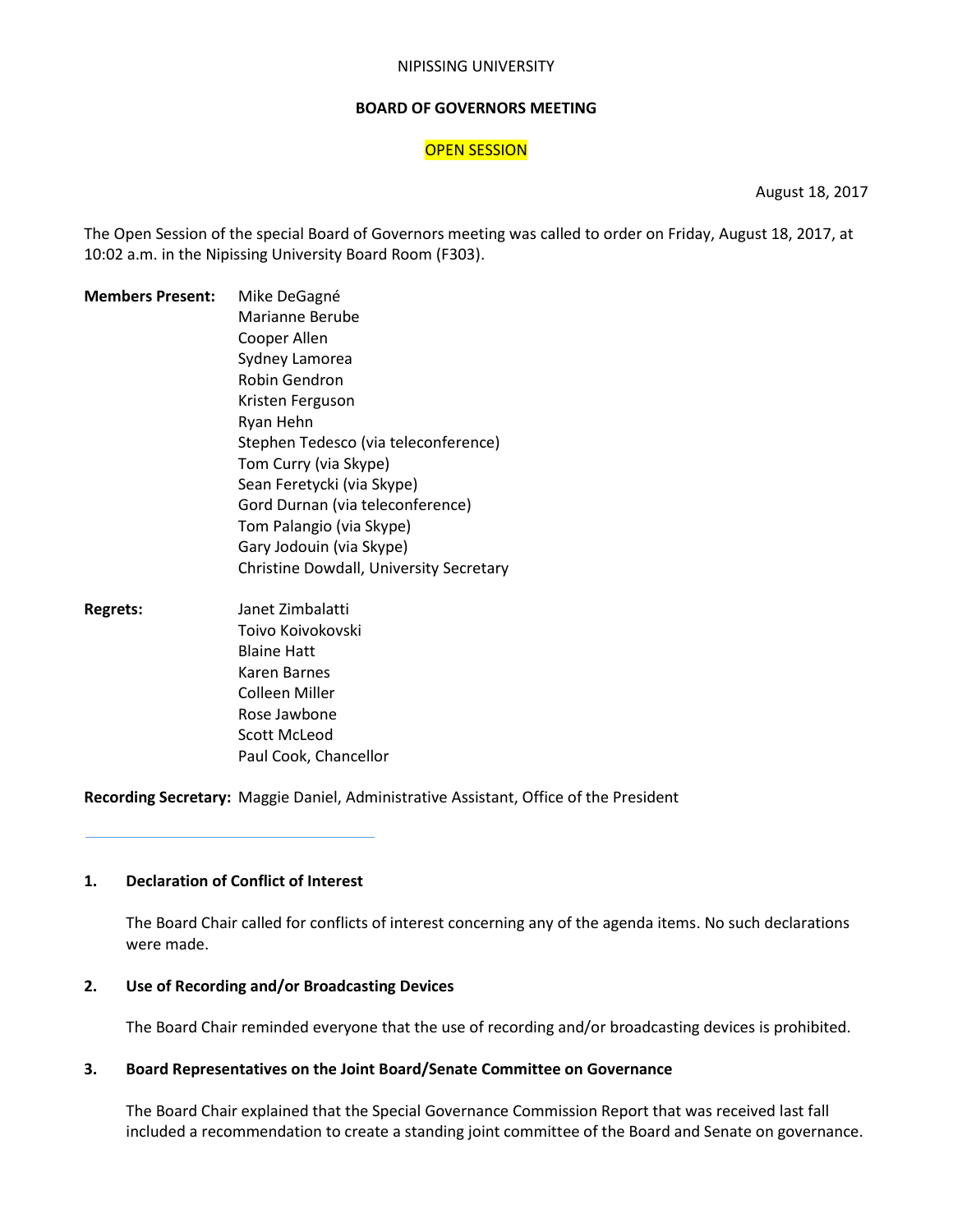#### NIPISSING UNIVERSITY

#### **BOARD OF GOVERNORS MEETING**

# **OPEN SESSION**

August 18, 2017

The Open Session of the special Board of Governors meeting was called to order on Friday, August 18, 2017, at 10:02 a.m. in the Nipissing University Board Room (F303).

**Members Present:** Mike DeGagné Marianne Berube Cooper Allen Sydney Lamorea Robin Gendron Kristen Ferguson Ryan Hehn Stephen Tedesco (via teleconference) Tom Curry (via Skype) Sean Feretycki (via Skype) Gord Durnan (via teleconference) Tom Palangio (via Skype) Gary Jodouin (via Skype) Christine Dowdall, University Secretary **Regrets:** Janet Zimbalatti Toivo Koivokovski Blaine Hatt Karen Barnes Colleen Miller Rose Jawbone

Scott McLeod

Paul Cook, Chancellor

**Recording Secretary:** Maggie Daniel, Administrative Assistant, Office of the President

# **1. Declaration of Conflict of Interest**

The Board Chair called for conflicts of interest concerning any of the agenda items. No such declarations were made.

#### **2. Use of Recording and/or Broadcasting Devices**

The Board Chair reminded everyone that the use of recording and/or broadcasting devices is prohibited.

# **3. Board Representatives on the Joint Board/Senate Committee on Governance**

The Board Chair explained that the Special Governance Commission Report that was received last fall included a recommendation to create a standing joint committee of the Board and Senate on governance.